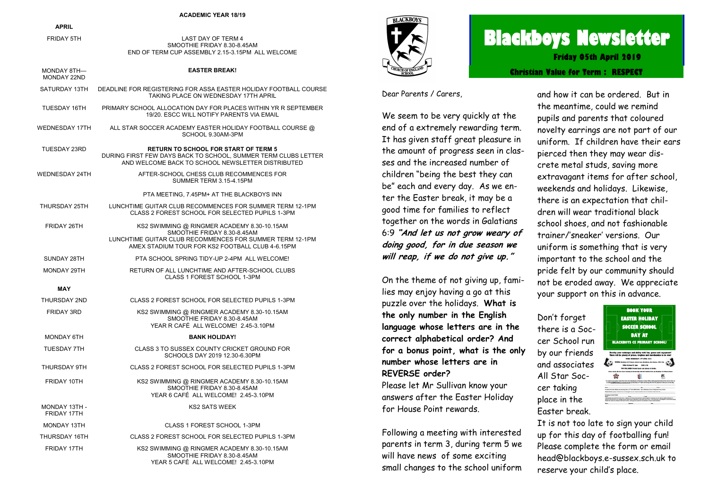|                              | <b>ACADEMIC YEAR 18/19</b>                                                                                                                                                                 |
|------------------------------|--------------------------------------------------------------------------------------------------------------------------------------------------------------------------------------------|
| <b>APRIL</b>                 |                                                                                                                                                                                            |
| <b>FRIDAY 5TH</b>            | LAST DAY OF TERM 4<br>SMOOTHIE FRIDAY 8.30-8.45AM<br>END OF TERM CUP ASSEMBLY 2.15-3.15PM ALL WELCOME                                                                                      |
| MONDAY 8TH-<br>MONDAY 22ND   | <b>EASTER BREAK!</b>                                                                                                                                                                       |
| SATURDAY 13TH                | DEADLINE FOR REGISTERING FOR ASSA EASTER HOLIDAY FOOTBALL COURSE<br>TAKING PLACE ON WEDNESDAY 17TH APRIL                                                                                   |
| TUESDAY 16TH                 | PRIMARY SCHOOL ALLOCATION DAY FOR PLACES WITHIN YR R SEPTEMBER<br>19/20. ESCC WILL NOTIFY PARENTS VIA EMAIL                                                                                |
| WEDNESDAY 17TH               | ALL STAR SOCCER ACADEMY EASTER HOLIDAY FOOTBALL COURSE @<br>SCHOOL 9.30AM-3PM                                                                                                              |
| TUESDAY 23RD                 | <b>RETURN TO SCHOOL FOR START OF TERM 5</b><br>DURING FIRST FEW DAYS BACK TO SCHOOL, SUMMER TERM CLUBS LETTER<br>AND WELCOME BACK TO SCHOOL NEWSLETTER DISTRIBUTED                         |
| WEDNESDAY 24TH               | AFTER-SCHOOL CHESS CLUB RECOMMENCES FOR<br>SUMMER TERM 3.15-4.15PM                                                                                                                         |
|                              | PTA MEETING, 7.45PM+ AT THE BLACKBOYS INN                                                                                                                                                  |
| THURSDAY 25TH                | LUNCHTIME GUITAR CLUB RECOMMENCES FOR SUMMER TERM 12-1PM<br>CLASS 2 FOREST SCHOOL FOR SELECTED PUPILS 1-3PM                                                                                |
| FRIDAY 26TH                  | KS2 SWIMMING @ RINGMER ACADEMY 8.30-10.15AM<br>SMOOTHIE FRIDAY 8.30-8.45AM<br>LUNCHTIME GUITAR CLUB RECOMMENCES FOR SUMMER TERM 12-1PM<br>AMEX STADIUM TOUR FOR KS2 FOOTBALL CLUB 4-6.15PM |
| SUNDAY 28TH                  | PTA SCHOOL SPRING TIDY-UP 2-4PM ALL WELCOME!                                                                                                                                               |
| <b>MONDAY 29TH</b>           | RETURN OF ALL LUNCHTIME AND AFTER-SCHOOL CLUBS<br>CLASS 1 FOREST SCHOOL 1-3PM                                                                                                              |
| MAY                          |                                                                                                                                                                                            |
| THURSDAY 2ND                 | CLASS 2 FOREST SCHOOL FOR SELECTED PUPILS 1-3PM                                                                                                                                            |
| <b>FRIDAY 3RD</b>            | KS2 SWIMMING @ RINGMER ACADEMY 8.30-10.15AM<br>SMOOTHIE FRIDAY 8.30-8.45AM<br>YEAR R CAFÉ ALL WELCOME! 2.45-3.10PM                                                                         |
| MONDAY 6TH                   | <b>BANK HOLIDAY!</b>                                                                                                                                                                       |
| TUESDAY 7TH                  | CLASS 3 TO SUSSEX COUNTY CRICKET GROUND FOR<br>SCHOOLS DAY 2019 12.30-6.30PM                                                                                                               |
| THURSDAY 9TH                 | CLASS 2 FOREST SCHOOL FOR SELECTED PUPILS 1-3PM                                                                                                                                            |
| FRIDAY 10TH                  | KS2 SWIMMING @ RINGMER ACADEMY 8.30-10.15AM<br>SMOOTHIE FRIDAY 8.30-8.45AM<br>YEAR 6 CAFÉ ALL WELCOME! 2.45-3.10PM                                                                         |
| MONDAY 13TH -<br>FRIDAY 17TH | <b>KS2 SATS WEEK</b>                                                                                                                                                                       |
| MONDAY 13TH                  | CLASS 1 FOREST SCHOOL 1-3PM                                                                                                                                                                |
| THURSDAY 16TH                | CLASS 2 FOREST SCHOOL FOR SELECTED PUPILS 1-3PM                                                                                                                                            |

FRIDAY 17TH KS2 SWIMMING @ RINGMER ACADEMY 8.30-10.15AM

SMOOTHIE FRIDAY 8.30-8.45AM YEAR 5 CAFÉ ALL WELCOME! 2.45-3.10PM **TACKROL** 

# **Blackboys Newsletter Christian Value for Term : RESPECT Friday 05th April 2019**

Dear Parents / Carers,

We seem to be very quickly at the end of a extremely rewarding term. It has given staff great pleasure in the amount of progress seen in classes and the increased number of children "being the best they can be" each and every day. As we enter the Easter break, it may be a good time for families to reflect together on the words in Galatians 6:9 **"And let us not grow weary of doing good, for in due season we will reap, if we do not give up."**

On the theme of not giving up, families may enjoy having a go at this puzzle over the holidays. **What is the only number in the English language whose letters are in the correct alphabetical order? And for a bonus point, what is the only number whose letters are in REVERSE order?**

Please let Mr Sullivan know your answers after the Easter Holiday for House Point rewards.

Following a meeting with interested parents in term 3, during term 5 we will have news of some exciting small changes to the school uniform and how it can be ordered. But in the meantime, could we remind pupils and parents that coloured novelty earrings are not part of our uniform. If children have their ears pierced then they may wear discrete metal studs, saving more extravagant items for after school, weekends and holidays. Likewise, there is an expectation that children will wear traditional black school shoes, and not fashionable trainer/'sneaker' versions. Our uniform is something that is very important to the school and the pride felt by our community should not be eroded away. We appreciate your support on this in advance.

Don't forget there is a Soccer School run by our friends and associates All Star Soccer taking place in the Easter break.



It is not too late to sign your child up for this day of footballing fun! Please complete the form or email head@blackboys.e-sussex.sch.uk to reserve your child's place.